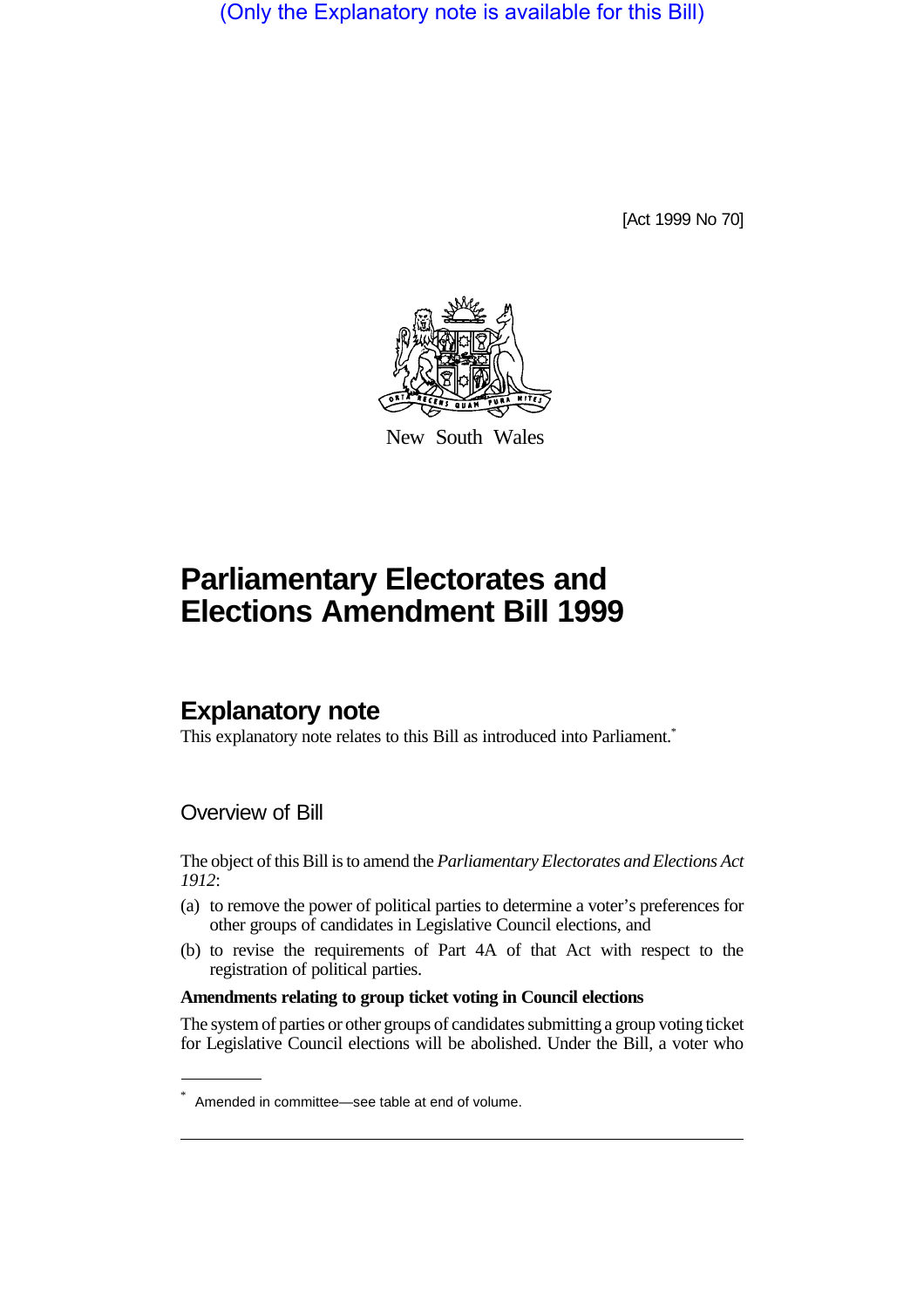(Only the Explanatory note is available for this Bill)

[Act 1999 No 70]



New South Wales

# **Parliamentary Electorates and Elections Amendment Bill 1999**

# **Explanatory note**

This explanatory note relates to this Bill as introduced into Parliament.<sup>\*</sup>

### Overview of Bill

The object of this Bill is to amend the *Parliamentary Electorates and Elections Act 1912*:

- (a) to remove the power of political parties to determine a voter's preferences for other groups of candidates in Legislative Council elections, and
- (b) to revise the requirements of Part 4A of that Act with respect to the registration of political parties.

#### **Amendments relating to group ticket voting in Council elections**

The system of parties or other groups of candidates submitting a group voting ticket for Legislative Council elections will be abolished. Under the Bill, a voter who

<sup>\*</sup> Amended in committee—see table at end of volume.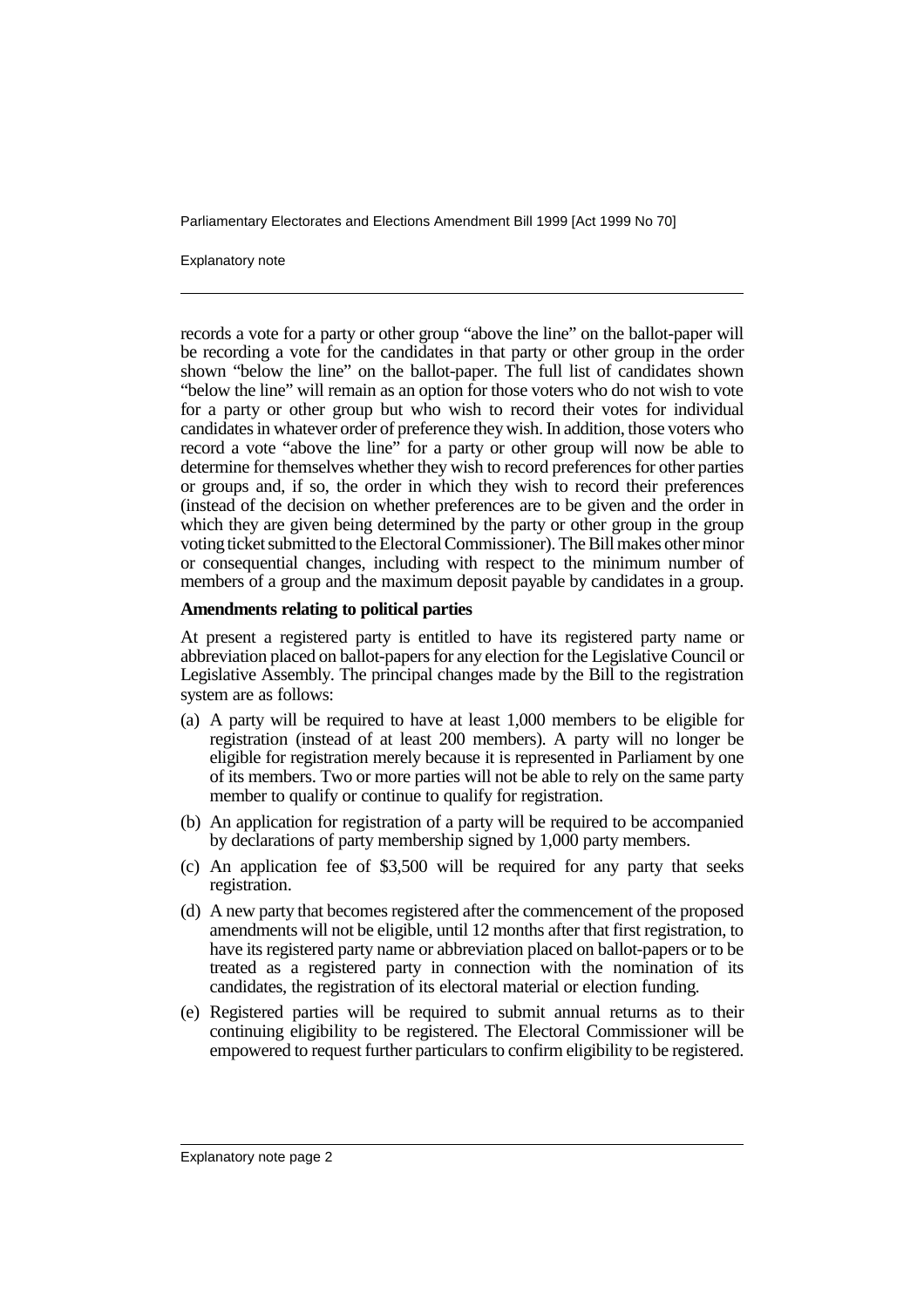Explanatory note

records a vote for a party or other group "above the line" on the ballot-paper will be recording a vote for the candidates in that party or other group in the order shown "below the line" on the ballot-paper. The full list of candidates shown "below the line" will remain as an option for those voters who do not wish to vote for a party or other group but who wish to record their votes for individual candidates in whatever order of preference they wish. In addition, those voters who record a vote "above the line" for a party or other group will now be able to determine for themselves whether they wish to record preferences for other parties or groups and, if so, the order in which they wish to record their preferences (instead of the decision on whether preferences are to be given and the order in which they are given being determined by the party or other group in the group voting ticket submitted to the Electoral Commissioner). The Bill makes other minor or consequential changes, including with respect to the minimum number of members of a group and the maximum deposit payable by candidates in a group.

#### **Amendments relating to political parties**

At present a registered party is entitled to have its registered party name or abbreviation placed on ballot-papers for any election for the Legislative Council or Legislative Assembly. The principal changes made by the Bill to the registration system are as follows:

- (a) A party will be required to have at least 1,000 members to be eligible for registration (instead of at least 200 members). A party will no longer be eligible for registration merely because it is represented in Parliament by one of its members. Two or more parties will not be able to rely on the same party member to qualify or continue to qualify for registration.
- (b) An application for registration of a party will be required to be accompanied by declarations of party membership signed by 1,000 party members.
- (c) An application fee of \$3,500 will be required for any party that seeks registration.
- (d) A new party that becomes registered after the commencement of the proposed amendments will not be eligible, until 12 months after that first registration, to have its registered party name or abbreviation placed on ballot-papers or to be treated as a registered party in connection with the nomination of its candidates, the registration of its electoral material or election funding.
- (e) Registered parties will be required to submit annual returns as to their continuing eligibility to be registered. The Electoral Commissioner will be empowered to request further particulars to confirm eligibility to be registered.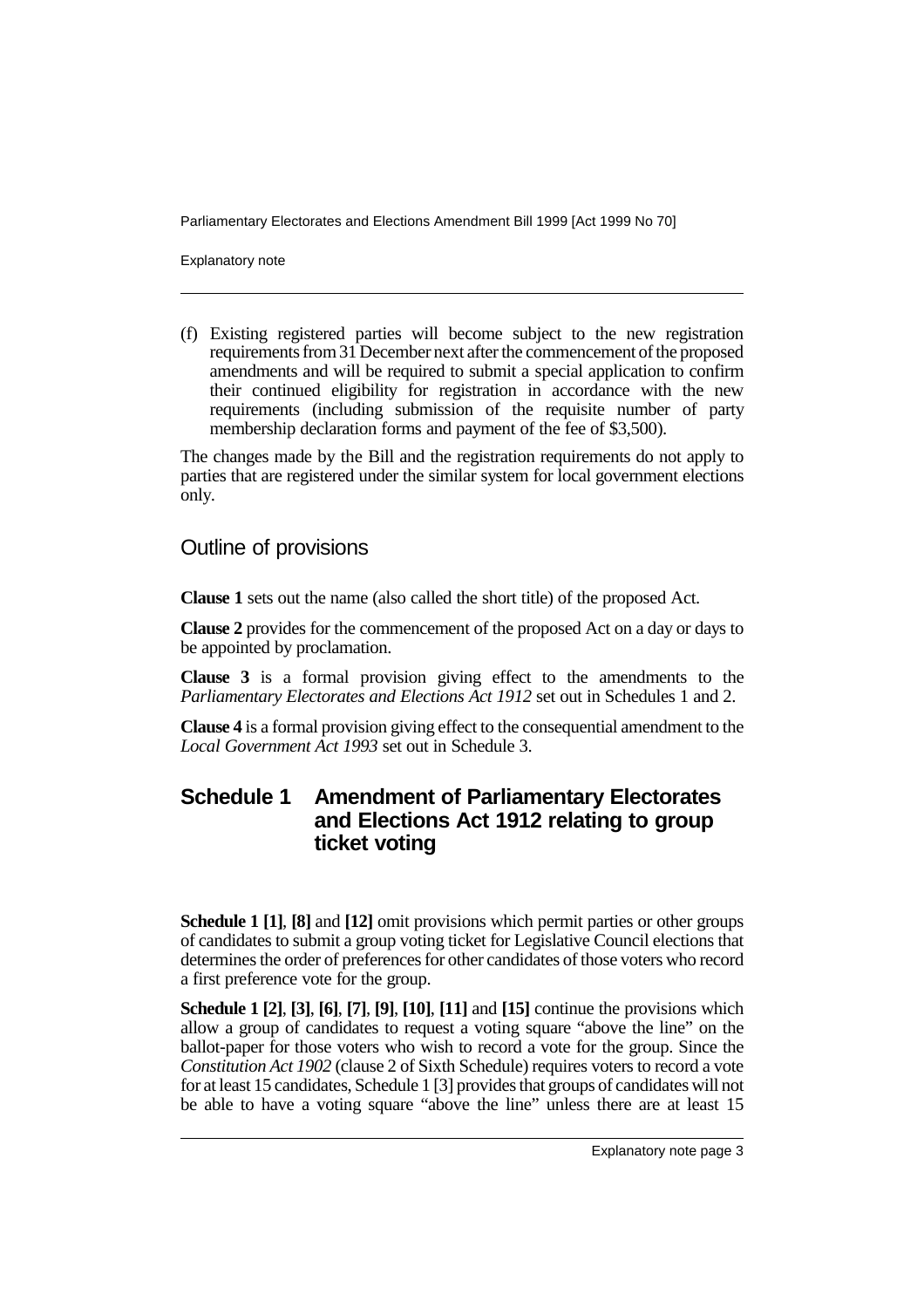Explanatory note

(f) Existing registered parties will become subject to the new registration requirements from 31 December next after the commencement of the proposed amendments and will be required to submit a special application to confirm their continued eligibility for registration in accordance with the new requirements (including submission of the requisite number of party membership declaration forms and payment of the fee of \$3,500).

The changes made by the Bill and the registration requirements do not apply to parties that are registered under the similar system for local government elections only.

Outline of provisions

**Clause 1** sets out the name (also called the short title) of the proposed Act.

**Clause 2** provides for the commencement of the proposed Act on a day or days to be appointed by proclamation.

**Clause 3** is a formal provision giving effect to the amendments to the *Parliamentary Electorates and Elections Act 1912* set out in Schedules 1 and 2.

**Clause 4** is a formal provision giving effect to the consequential amendment to the *Local Government Act 1993* set out in Schedule 3.

### **Schedule 1 Amendment of Parliamentary Electorates and Elections Act 1912 relating to group ticket voting**

**Schedule 1 [1]**, **[8]** and **[12]** omit provisions which permit parties or other groups of candidates to submit a group voting ticket for Legislative Council elections that determines the order of preferences for other candidates of those voters who record a first preference vote for the group.

**Schedule 1 [2]**, **[3]**, **[6]**, **[7]**, **[9]**, **[10]**, **[11]** and **[15]** continue the provisions which allow a group of candidates to request a voting square "above the line" on the ballot-paper for those voters who wish to record a vote for the group. Since the *Constitution Act 1902* (clause 2 of Sixth Schedule) requires voters to record a vote for at least 15 candidates, Schedule 1 [3] provides that groups of candidates will not be able to have a voting square "above the line" unless there are at least 15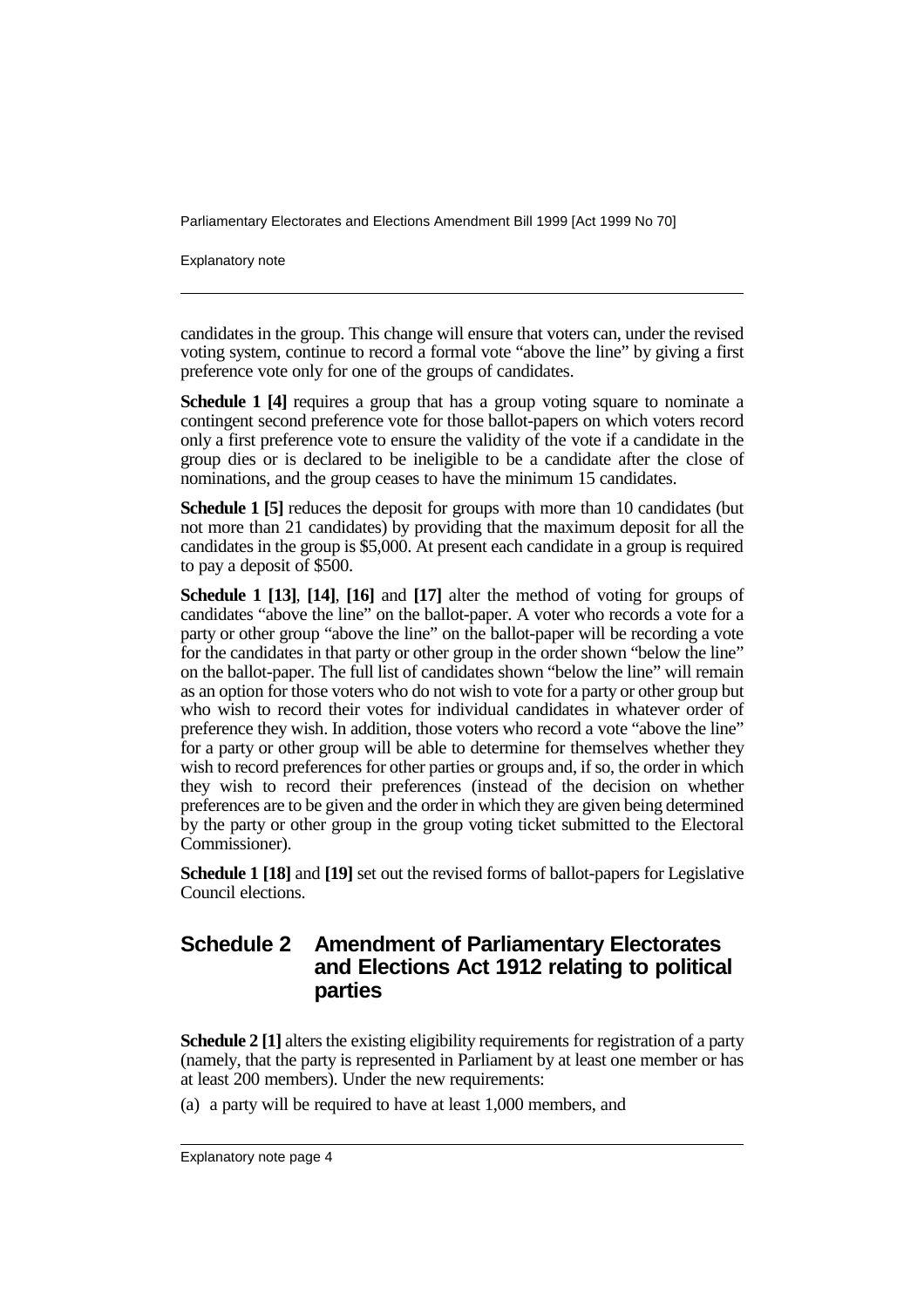Explanatory note

candidates in the group. This change will ensure that voters can, under the revised voting system, continue to record a formal vote "above the line" by giving a first preference vote only for one of the groups of candidates.

**Schedule 1 [4]** requires a group that has a group voting square to nominate a contingent second preference vote for those ballot-papers on which voters record only a first preference vote to ensure the validity of the vote if a candidate in the group dies or is declared to be ineligible to be a candidate after the close of nominations, and the group ceases to have the minimum 15 candidates.

**Schedule 1 [5]** reduces the deposit for groups with more than 10 candidates (but not more than 21 candidates) by providing that the maximum deposit for all the candidates in the group is \$5,000. At present each candidate in a group is required to pay a deposit of \$500.

**Schedule 1 [13]**, **[14]**, **[16]** and **[17]** alter the method of voting for groups of candidates "above the line" on the ballot-paper. A voter who records a vote for a party or other group "above the line" on the ballot-paper will be recording a vote for the candidates in that party or other group in the order shown "below the line" on the ballot-paper. The full list of candidates shown "below the line" will remain as an option for those voters who do not wish to vote for a party or other group but who wish to record their votes for individual candidates in whatever order of preference they wish. In addition, those voters who record a vote "above the line" for a party or other group will be able to determine for themselves whether they wish to record preferences for other parties or groups and, if so, the order in which they wish to record their preferences (instead of the decision on whether preferences are to be given and the order in which they are given being determined by the party or other group in the group voting ticket submitted to the Electoral Commissioner).

**Schedule 1 [18]** and **[19]** set out the revised forms of ballot-papers for Legislative Council elections.

## **Schedule 2 Amendment of Parliamentary Electorates and Elections Act 1912 relating to political parties**

**Schedule 2 [1]** alters the existing eligibility requirements for registration of a party (namely, that the party is represented in Parliament by at least one member or has at least 200 members). Under the new requirements:

(a) a party will be required to have at least 1,000 members, and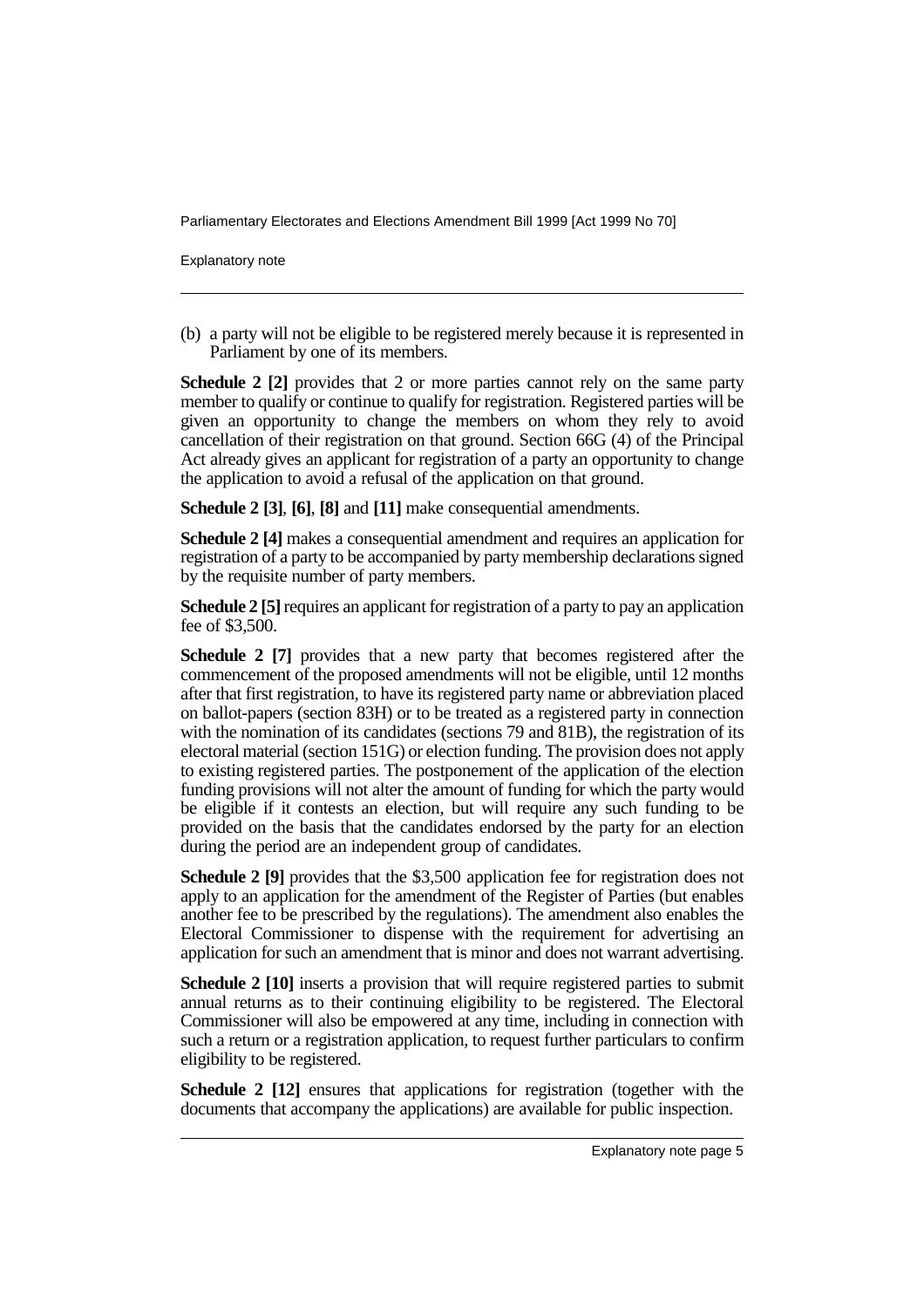Explanatory note

(b) a party will not be eligible to be registered merely because it is represented in Parliament by one of its members.

**Schedule 2 [2]** provides that 2 or more parties cannot rely on the same party member to qualify or continue to qualify for registration. Registered parties will be given an opportunity to change the members on whom they rely to avoid cancellation of their registration on that ground. Section 66G (4) of the Principal Act already gives an applicant for registration of a party an opportunity to change the application to avoid a refusal of the application on that ground.

**Schedule 2 [3]**, **[6]**, **[8]** and **[11]** make consequential amendments.

**Schedule 2 [4]** makes a consequential amendment and requires an application for registration of a party to be accompanied by party membership declarations signed by the requisite number of party members.

**Schedule 2 [5]** requires an applicant for registration of a party to pay an application fee of \$3,500.

**Schedule 2** [7] provides that a new party that becomes registered after the commencement of the proposed amendments will not be eligible, until 12 months after that first registration, to have its registered party name or abbreviation placed on ballot-papers (section 83H) or to be treated as a registered party in connection with the nomination of its candidates (sections 79 and 81B), the registration of its electoral material (section 151G) or election funding. The provision does not apply to existing registered parties. The postponement of the application of the election funding provisions will not alter the amount of funding for which the party would be eligible if it contests an election, but will require any such funding to be provided on the basis that the candidates endorsed by the party for an election during the period are an independent group of candidates.

**Schedule 2 [9]** provides that the \$3,500 application fee for registration does not apply to an application for the amendment of the Register of Parties (but enables another fee to be prescribed by the regulations). The amendment also enables the Electoral Commissioner to dispense with the requirement for advertising an application for such an amendment that is minor and does not warrant advertising.

**Schedule 2 [10]** inserts a provision that will require registered parties to submit annual returns as to their continuing eligibility to be registered. The Electoral Commissioner will also be empowered at any time, including in connection with such a return or a registration application, to request further particulars to confirm eligibility to be registered.

**Schedule 2 [12]** ensures that applications for registration (together with the documents that accompany the applications) are available for public inspection.